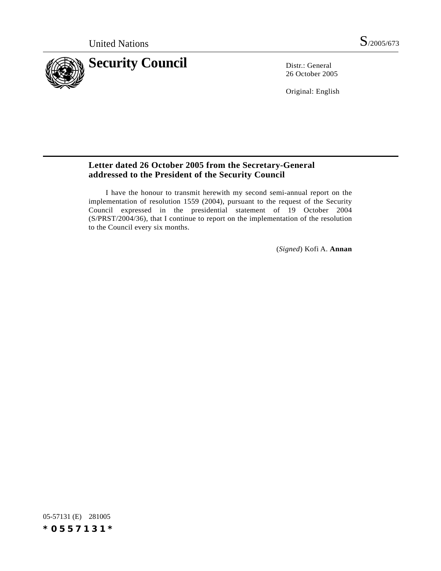

26 October 2005

Original: English

# **Letter dated 26 October 2005 from the Secretary-General addressed to the President of the Security Council**

I have the honour to transmit herewith my second semi-annual report on the implementation of resolution 1559 (2004), pursuant to the request of the Security Council expressed in the presidential statement of 19 October 2004 (S/PRST/2004/36), that I continue to report on the implementation of the resolution to the Council every six months.

(*Signed*) Kofi A. **Annan**

05-57131 (E) 281005 *\*0557131\**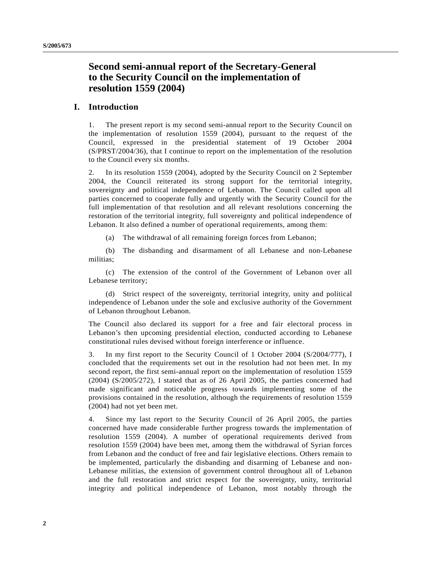# **Second semi-annual report of the Secretary-General to the Security Council on the implementation of resolution 1559 (2004)**

# **I. Introduction**

1. The present report is my second semi-annual report to the Security Council on the implementation of resolution 1559 (2004), pursuant to the request of the Council, expressed in the presidential statement of 19 October 2004 (S/PRST/2004/36), that I continue to report on the implementation of the resolution to the Council every six months.

2. In its resolution 1559 (2004), adopted by the Security Council on 2 September 2004, the Council reiterated its strong support for the territorial integrity, sovereignty and political independence of Lebanon. The Council called upon all parties concerned to cooperate fully and urgently with the Security Council for the full implementation of that resolution and all relevant resolutions concerning the restoration of the territorial integrity, full sovereignty and political independence of Lebanon. It also defined a number of operational requirements, among them:

(a) The withdrawal of all remaining foreign forces from Lebanon;

(b) The disbanding and disarmament of all Lebanese and non-Lebanese militias;

(c) The extension of the control of the Government of Lebanon over all Lebanese territory;

(d) Strict respect of the sovereignty, territorial integrity, unity and political independence of Lebanon under the sole and exclusive authority of the Government of Lebanon throughout Lebanon.

The Council also declared its support for a free and fair electoral process in Lebanon's then upcoming presidential election, conducted according to Lebanese constitutional rules devised without foreign interference or influence.

3. In my first report to the Security Council of 1 October 2004 (S/2004/777), I concluded that the requirements set out in the resolution had not been met. In my second report, the first semi-annual report on the implementation of resolution 1559 (2004) (S/2005/272), I stated that as of 26 April 2005, the parties concerned had made significant and noticeable progress towards implementing some of the provisions contained in the resolution, although the requirements of resolution 1559 (2004) had not yet been met.

4. Since my last report to the Security Council of 26 April 2005, the parties concerned have made considerable further progress towards the implementation of resolution 1559 (2004). A number of operational requirements derived from resolution 1559 (2004) have been met, among them the withdrawal of Syrian forces from Lebanon and the conduct of free and fair legislative elections. Others remain to be implemented, particularly the disbanding and disarming of Lebanese and non-Lebanese militias, the extension of government control throughout all of Lebanon and the full restoration and strict respect for the sovereignty, unity, territorial integrity and political independence of Lebanon, most notably through the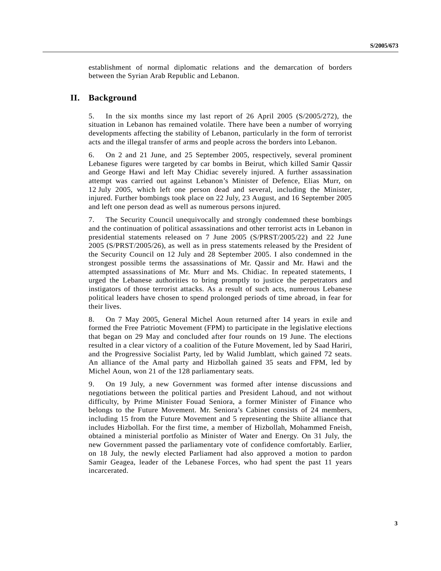establishment of normal diplomatic relations and the demarcation of borders between the Syrian Arab Republic and Lebanon.

## **II. Background**

5. In the six months since my last report of 26 April 2005 (S/2005/272), the situation in Lebanon has remained volatile. There have been a number of worrying developments affecting the stability of Lebanon, particularly in the form of terrorist acts and the illegal transfer of arms and people across the borders into Lebanon.

6. On 2 and 21 June, and 25 September 2005, respectively, several prominent Lebanese figures were targeted by car bombs in Beirut, which killed Samir Qassir and George Hawi and left May Chidiac severely injured. A further assassination attempt was carried out against Lebanon's Minister of Defence, Elias Murr, on 12 July 2005, which left one person dead and several, including the Minister, injured. Further bombings took place on 22 July, 23 August, and 16 September 2005 and left one person dead as well as numerous persons injured.

7. The Security Council unequivocally and strongly condemned these bombings and the continuation of political assassinations and other terrorist acts in Lebanon in presidential statements released on 7 June 2005 (S/PRST/2005/22) and 22 June 2005 (S/PRST/2005/26), as well as in press statements released by the President of the Security Council on 12 July and 28 September 2005. I also condemned in the strongest possible terms the assassinations of Mr. Qassir and Mr. Hawi and the attempted assassinations of Mr. Murr and Ms. Chidiac. In repeated statements, I urged the Lebanese authorities to bring promptly to justice the perpetrators and instigators of those terrorist attacks. As a result of such acts, numerous Lebanese political leaders have chosen to spend prolonged periods of time abroad, in fear for their lives.

8. On 7 May 2005, General Michel Aoun returned after 14 years in exile and formed the Free Patriotic Movement (FPM) to participate in the legislative elections that began on 29 May and concluded after four rounds on 19 June. The elections resulted in a clear victory of a coalition of the Future Movement, led by Saad Hariri, and the Progressive Socialist Party, led by Walid Jumblatt, which gained 72 seats. An alliance of the Amal party and Hizbollah gained 35 seats and FPM, led by Michel Aoun, won 21 of the 128 parliamentary seats.

9. On 19 July, a new Government was formed after intense discussions and negotiations between the political parties and President Lahoud, and not without difficulty, by Prime Minister Fouad Seniora, a former Minister of Finance who belongs to the Future Movement. Mr. Seniora's Cabinet consists of 24 members, including 15 from the Future Movement and 5 representing the Shiite alliance that includes Hizbollah. For the first time, a member of Hizbollah, Mohammed Fneish, obtained a ministerial portfolio as Minister of Water and Energy. On 31 July, the new Government passed the parliamentary vote of confidence comfortably. Earlier, on 18 July, the newly elected Parliament had also approved a motion to pardon Samir Geagea, leader of the Lebanese Forces, who had spent the past 11 years incarcerated.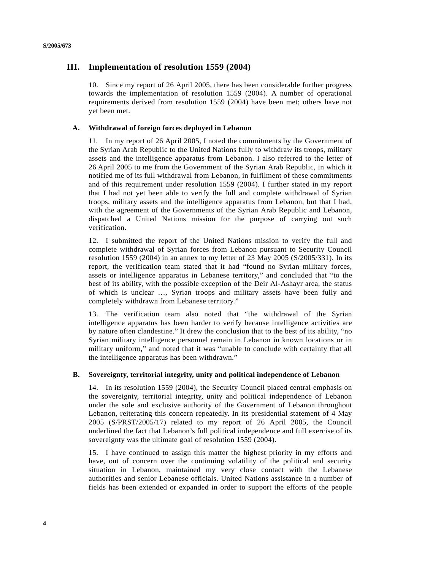# **III. Implementation of resolution 1559 (2004)**

10. Since my report of 26 April 2005, there has been considerable further progress towards the implementation of resolution 1559 (2004). A number of operational requirements derived from resolution 1559 (2004) have been met; others have not yet been met.

### **A. Withdrawal of foreign forces deployed in Lebanon**

11. In my report of 26 April 2005, I noted the commitments by the Government of the Syrian Arab Republic to the United Nations fully to withdraw its troops, military assets and the intelligence apparatus from Lebanon. I also referred to the letter of 26 April 2005 to me from the Government of the Syrian Arab Republic, in which it notified me of its full withdrawal from Lebanon, in fulfilment of these commitments and of this requirement under resolution 1559 (2004). I further stated in my report that I had not yet been able to verify the full and complete withdrawal of Syrian troops, military assets and the intelligence apparatus from Lebanon, but that I had, with the agreement of the Governments of the Syrian Arab Republic and Lebanon, dispatched a United Nations mission for the purpose of carrying out such verification.

12. I submitted the report of the United Nations mission to verify the full and complete withdrawal of Syrian forces from Lebanon pursuant to Security Council resolution 1559 (2004) in an annex to my letter of 23 May 2005 (S/2005/331). In its report, the verification team stated that it had "found no Syrian military forces, assets or intelligence apparatus in Lebanese territory," and concluded that "to the best of its ability, with the possible exception of the Deir Al-Ashayr area, the status of which is unclear …, Syrian troops and military assets have been fully and completely withdrawn from Lebanese territory."

13. The verification team also noted that "the withdrawal of the Syrian intelligence apparatus has been harder to verify because intelligence activities are by nature often clandestine." It drew the conclusion that to the best of its ability, "no Syrian military intelligence personnel remain in Lebanon in known locations or in military uniform," and noted that it was "unable to conclude with certainty that all the intelligence apparatus has been withdrawn."

#### **B. Sovereignty, territorial integrity, unity and political independence of Lebanon**

14. In its resolution 1559 (2004), the Security Council placed central emphasis on the sovereignty, territorial integrity, unity and political independence of Lebanon under the sole and exclusive authority of the Government of Lebanon throughout Lebanon, reiterating this concern repeatedly. In its presidential statement of 4 May 2005 (S/PRST/2005/17) related to my report of 26 April 2005, the Council underlined the fact that Lebanon's full political independence and full exercise of its sovereignty was the ultimate goal of resolution 1559 (2004).

15. I have continued to assign this matter the highest priority in my efforts and have, out of concern over the continuing volatility of the political and security situation in Lebanon, maintained my very close contact with the Lebanese authorities and senior Lebanese officials. United Nations assistance in a number of fields has been extended or expanded in order to support the efforts of the people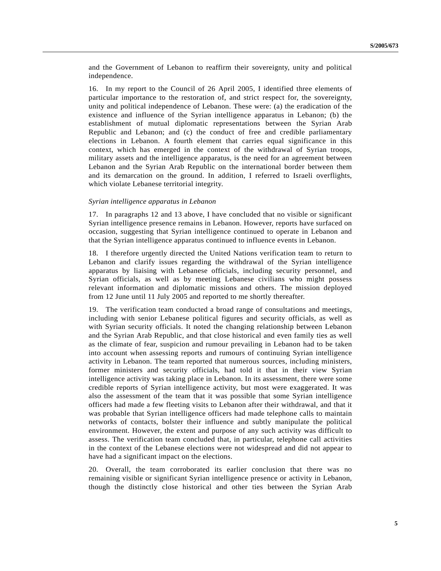and the Government of Lebanon to reaffirm their sovereignty, unity and political independence.

16. In my report to the Council of 26 April 2005, I identified three elements of particular importance to the restoration of, and strict respect for, the sovereignty, unity and political independence of Lebanon. These were: (a) the eradication of the existence and influence of the Syrian intelligence apparatus in Lebanon; (b) the establishment of mutual diplomatic representations between the Syrian Arab Republic and Lebanon; and (c) the conduct of free and credible parliamentary elections in Lebanon. A fourth element that carries equal significance in this context, which has emerged in the context of the withdrawal of Syrian troops, military assets and the intelligence apparatus, is the need for an agreement between Lebanon and the Syrian Arab Republic on the international border between them and its demarcation on the ground. In addition, I referred to Israeli overflights, which violate Lebanese territorial integrity.

#### *Syrian intelligence apparatus in Lebanon*

17. In paragraphs 12 and 13 above, I have concluded that no visible or significant Syrian intelligence presence remains in Lebanon. However, reports have surfaced on occasion, suggesting that Syrian intelligence continued to operate in Lebanon and that the Syrian intelligence apparatus continued to influence events in Lebanon.

18. I therefore urgently directed the United Nations verification team to return to Lebanon and clarify issues regarding the withdrawal of the Syrian intelligence apparatus by liaising with Lebanese officials, including security personnel, and Syrian officials, as well as by meeting Lebanese civilians who might possess relevant information and diplomatic missions and others. The mission deployed from 12 June until 11 July 2005 and reported to me shortly thereafter.

19. The verification team conducted a broad range of consultations and meetings, including with senior Lebanese political figures and security officials, as well as with Syrian security officials. It noted the changing relationship between Lebanon and the Syrian Arab Republic, and that close historical and even family ties as well as the climate of fear, suspicion and rumour prevailing in Lebanon had to be taken into account when assessing reports and rumours of continuing Syrian intelligence activity in Lebanon. The team reported that numerous sources, including ministers, former ministers and security officials, had told it that in their view Syrian intelligence activity was taking place in Lebanon. In its assessment, there were some credible reports of Syrian intelligence activity, but most were exaggerated. It was also the assessment of the team that it was possible that some Syrian intelligence officers had made a few fleeting visits to Lebanon after their withdrawal, and that it was probable that Syrian intelligence officers had made telephone calls to maintain networks of contacts, bolster their influence and subtly manipulate the political environment. However, the extent and purpose of any such activity was difficult to assess. The verification team concluded that, in particular, telephone call activities in the context of the Lebanese elections were not widespread and did not appear to have had a significant impact on the elections.

20. Overall, the team corroborated its earlier conclusion that there was no remaining visible or significant Syrian intelligence presence or activity in Lebanon, though the distinctly close historical and other ties between the Syrian Arab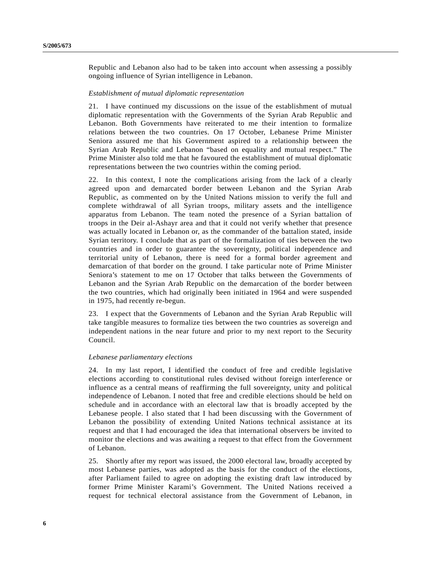Republic and Lebanon also had to be taken into account when assessing a possibly ongoing influence of Syrian intelligence in Lebanon.

#### *Establishment of mutual diplomatic representation*

21. I have continued my discussions on the issue of the establishment of mutual diplomatic representation with the Governments of the Syrian Arab Republic and Lebanon. Both Governments have reiterated to me their intention to formalize relations between the two countries. On 17 October, Lebanese Prime Minister Seniora assured me that his Government aspired to a relationship between the Syrian Arab Republic and Lebanon "based on equality and mutual respect." The Prime Minister also told me that he favoured the establishment of mutual diplomatic representations between the two countries within the coming period.

22. In this context, I note the complications arising from the lack of a clearly agreed upon and demarcated border between Lebanon and the Syrian Arab Republic, as commented on by the United Nations mission to verify the full and complete withdrawal of all Syrian troops, military assets and the intelligence apparatus from Lebanon. The team noted the presence of a Syrian battalion of troops in the Deir al-Ashayr area and that it could not verify whether that presence was actually located in Lebanon or, as the commander of the battalion stated, inside Syrian territory. I conclude that as part of the formalization of ties between the two countries and in order to guarantee the sovereignty, political independence and territorial unity of Lebanon, there is need for a formal border agreement and demarcation of that border on the ground. I take particular note of Prime Minister Seniora's statement to me on 17 October that talks between the Governments of Lebanon and the Syrian Arab Republic on the demarcation of the border between the two countries, which had originally been initiated in 1964 and were suspended in 1975, had recently re-begun.

23. I expect that the Governments of Lebanon and the Syrian Arab Republic will take tangible measures to formalize ties between the two countries as sovereign and independent nations in the near future and prior to my next report to the Security Council.

#### *Lebanese parliamentary elections*

24. In my last report, I identified the conduct of free and credible legislative elections according to constitutional rules devised without foreign interference or influence as a central means of reaffirming the full sovereignty, unity and political independence of Lebanon. I noted that free and credible elections should be held on schedule and in accordance with an electoral law that is broadly accepted by the Lebanese people. I also stated that I had been discussing with the Government of Lebanon the possibility of extending United Nations technical assistance at its request and that I had encouraged the idea that international observers be invited to monitor the elections and was awaiting a request to that effect from the Government of Lebanon.

25. Shortly after my report was issued, the 2000 electoral law, broadly accepted by most Lebanese parties, was adopted as the basis for the conduct of the elections, after Parliament failed to agree on adopting the existing draft law introduced by former Prime Minister Karami's Government. The United Nations received a request for technical electoral assistance from the Government of Lebanon, in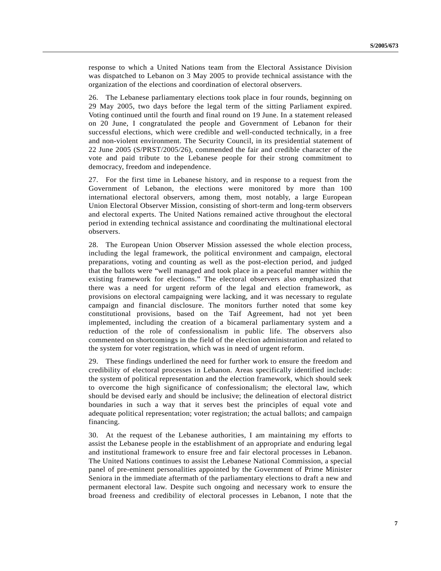response to which a United Nations team from the Electoral Assistance Division was dispatched to Lebanon on 3 May 2005 to provide technical assistance with the organization of the elections and coordination of electoral observers.

26. The Lebanese parliamentary elections took place in four rounds, beginning on 29 May 2005, two days before the legal term of the sitting Parliament expired. Voting continued until the fourth and final round on 19 June. In a statement released on 20 June, I congratulated the people and Government of Lebanon for their successful elections, which were credible and well-conducted technically, in a free and non-violent environment. The Security Council, in its presidential statement of 22 June 2005 (S/PRST/2005/26), commended the fair and credible character of the vote and paid tribute to the Lebanese people for their strong commitment to democracy, freedom and independence.

27. For the first time in Lebanese history, and in response to a request from the Government of Lebanon, the elections were monitored by more than 100 international electoral observers, among them, most notably, a large European Union Electoral Observer Mission, consisting of short-term and long-term observers and electoral experts. The United Nations remained active throughout the electoral period in extending technical assistance and coordinating the multinational electoral observers.

28. The European Union Observer Mission assessed the whole election process, including the legal framework, the political environment and campaign, electoral preparations, voting and counting as well as the post-election period, and judged that the ballots were "well managed and took place in a peaceful manner within the existing framework for elections." The electoral observers also emphasized that there was a need for urgent reform of the legal and election framework, as provisions on electoral campaigning were lacking, and it was necessary to regulate campaign and financial disclosure. The monitors further noted that some key constitutional provisions, based on the Taif Agreement, had not yet been implemented, including the creation of a bicameral parliamentary system and a reduction of the role of confessionalism in public life. The observers also commented on shortcomings in the field of the election administration and related to the system for voter registration, which was in need of urgent reform.

29. These findings underlined the need for further work to ensure the freedom and credibility of electoral processes in Lebanon. Areas specifically identified include: the system of political representation and the election framework, which should seek to overcome the high significance of confessionalism; the electoral law, which should be devised early and should be inclusive; the delineation of electoral district boundaries in such a way that it serves best the principles of equal vote and adequate political representation; voter registration; the actual ballots; and campaign financing.

30. At the request of the Lebanese authorities, I am maintaining my efforts to assist the Lebanese people in the establishment of an appropriate and enduring legal and institutional framework to ensure free and fair electoral processes in Lebanon. The United Nations continues to assist the Lebanese National Commission, a special panel of pre-eminent personalities appointed by the Government of Prime Minister Seniora in the immediate aftermath of the parliamentary elections to draft a new and permanent electoral law. Despite such ongoing and necessary work to ensure the broad freeness and credibility of electoral processes in Lebanon, I note that the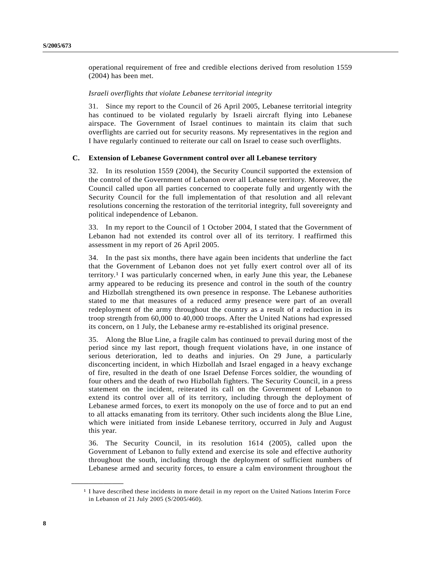operational requirement of free and credible elections derived from resolution 1559 (2004) has been met.

#### *Israeli overflights that violate Lebanese territorial integrity*

31. Since my report to the Council of 26 April 2005, Lebanese territorial integrity has continued to be violated regularly by Israeli aircraft flying into Lebanese airspace. The Government of Israel continues to maintain its claim that such overflights are carried out for security reasons. My representatives in the region and I have regularly continued to reiterate our call on Israel to cease such overflights.

## **C. Extension of Lebanese Government control over all Lebanese territory**

32. In its resolution 1559 (2004), the Security Council supported the extension of the control of the Government of Lebanon over all Lebanese territory. Moreover, the Council called upon all parties concerned to cooperate fully and urgently with the Security Council for the full implementation of that resolution and all relevant resolutions concerning the restoration of the territorial integrity, full sovereignty and political independence of Lebanon.

33. In my report to the Council of 1 October 2004, I stated that the Government of Lebanon had not extended its control over all of its territory. I reaffirmed this assessment in my report of 26 April 2005.

34. In the past six months, there have again been incidents that underline the fact that the Government of Lebanon does not yet fully exert control over all of its territory.1 I was particularly concerned when, in early June this year, the Lebanese army appeared to be reducing its presence and control in the south of the country and Hizbollah strengthened its own presence in response. The Lebanese authorities stated to me that measures of a reduced army presence were part of an overall redeployment of the army throughout the country as a result of a reduction in its troop strength from 60,000 to 40,000 troops. After the United Nations had expressed its concern, on 1 July, the Lebanese army re-established its original presence.

35. Along the Blue Line, a fragile calm has continued to prevail during most of the period since my last report, though frequent violations have, in one instance of serious deterioration, led to deaths and injuries. On 29 June, a particularly disconcerting incident, in which Hizbollah and Israel engaged in a heavy exchange of fire, resulted in the death of one Israel Defense Forces soldier, the wounding of four others and the death of two Hizbollah fighters. The Security Council, in a press statement on the incident, reiterated its call on the Government of Lebanon to extend its control over all of its territory, including through the deployment of Lebanese armed forces, to exert its monopoly on the use of force and to put an end to all attacks emanating from its territory. Other such incidents along the Blue Line, which were initiated from inside Lebanese territory, occurred in July and August this year.

36. The Security Council, in its resolution 1614 (2005), called upon the Government of Lebanon to fully extend and exercise its sole and effective authority throughout the south, including through the deployment of sufficient numbers of Lebanese armed and security forces, to ensure a calm environment throughout the

**\_\_\_\_\_\_\_\_\_\_\_\_\_\_\_\_\_\_**

<sup>&</sup>lt;sup>1</sup> I have described these incidents in more detail in my report on the United Nations Interim Force in Lebanon of 21 July 2005 (S/2005/460).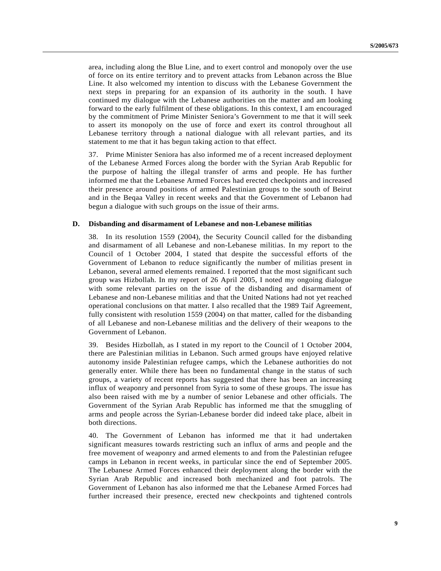area, including along the Blue Line, and to exert control and monopoly over the use of force on its entire territory and to prevent attacks from Lebanon across the Blue Line. It also welcomed my intention to discuss with the Lebanese Government the next steps in preparing for an expansion of its authority in the south. I have continued my dialogue with the Lebanese authorities on the matter and am looking forward to the early fulfilment of these obligations. In this context, I am encouraged by the commitment of Prime Minister Seniora's Government to me that it will seek to assert its monopoly on the use of force and exert its control throughout all Lebanese territory through a national dialogue with all relevant parties, and its statement to me that it has begun taking action to that effect.

37. Prime Minister Seniora has also informed me of a recent increased deployment of the Lebanese Armed Forces along the border with the Syrian Arab Republic for the purpose of halting the illegal transfer of arms and people. He has further informed me that the Lebanese Armed Forces had erected checkpoints and increased their presence around positions of armed Palestinian groups to the south of Beirut and in the Beqaa Valley in recent weeks and that the Government of Lebanon had begun a dialogue with such groups on the issue of their arms.

#### **D. Disbanding and disarmament of Lebanese and non-Lebanese militias**

38. In its resolution 1559 (2004), the Security Council called for the disbanding and disarmament of all Lebanese and non-Lebanese militias. In my report to the Council of 1 October 2004, I stated that despite the successful efforts of the Government of Lebanon to reduce significantly the number of militias present in Lebanon, several armed elements remained. I reported that the most significant such group was Hizbollah. In my report of 26 April 2005, I noted my ongoing dialogue with some relevant parties on the issue of the disbanding and disarmament of Lebanese and non-Lebanese militias and that the United Nations had not yet reached operational conclusions on that matter. I also recalled that the 1989 Taif Agreement, fully consistent with resolution 1559 (2004) on that matter, called for the disbanding of all Lebanese and non-Lebanese militias and the delivery of their weapons to the Government of Lebanon.

39. Besides Hizbollah, as I stated in my report to the Council of 1 October 2004, there are Palestinian militias in Lebanon. Such armed groups have enjoyed relative autonomy inside Palestinian refugee camps, which the Lebanese authorities do not generally enter. While there has been no fundamental change in the status of such groups, a variety of recent reports has suggested that there has been an increasing influx of weaponry and personnel from Syria to some of these groups. The issue has also been raised with me by a number of senior Lebanese and other officials. The Government of the Syrian Arab Republic has informed me that the smuggling of arms and people across the Syrian-Lebanese border did indeed take place, albeit in both directions.

40. The Government of Lebanon has informed me that it had undertaken significant measures towards restricting such an influx of arms and people and the free movement of weaponry and armed elements to and from the Palestinian refugee camps in Lebanon in recent weeks, in particular since the end of September 2005. The Lebanese Armed Forces enhanced their deployment along the border with the Syrian Arab Republic and increased both mechanized and foot patrols. The Government of Lebanon has also informed me that the Lebanese Armed Forces had further increased their presence, erected new checkpoints and tightened controls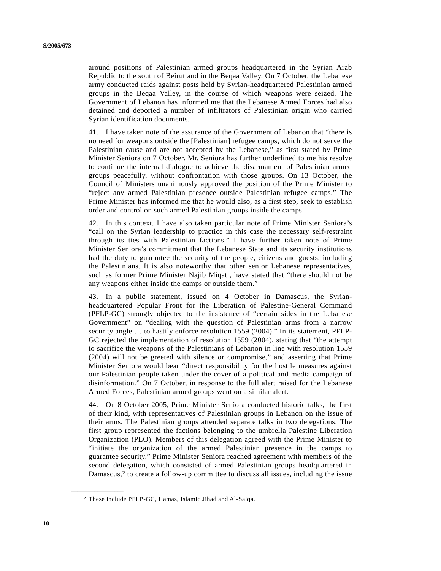around positions of Palestinian armed groups headquartered in the Syrian Arab Republic to the south of Beirut and in the Beqaa Valley. On 7 October, the Lebanese army conducted raids against posts held by Syrian-headquartered Palestinian armed groups in the Beqaa Valley, in the course of which weapons were seized. The Government of Lebanon has informed me that the Lebanese Armed Forces had also detained and deported a number of infiltrators of Palestinian origin who carried Syrian identification documents.

41. I have taken note of the assurance of the Government of Lebanon that "there is no need for weapons outside the [Palestinian] refugee camps, which do not serve the Palestinian cause and are not accepted by the Lebanese," as first stated by Prime Minister Seniora on 7 October. Mr. Seniora has further underlined to me his resolve to continue the internal dialogue to achieve the disarmament of Palestinian armed groups peacefully, without confrontation with those groups. On 13 October, the Council of Ministers unanimously approved the position of the Prime Minister to "reject any armed Palestinian presence outside Palestinian refugee camps." The Prime Minister has informed me that he would also, as a first step, seek to establish order and control on such armed Palestinian groups inside the camps.

42. In this context, I have also taken particular note of Prime Minister Seniora's "call on the Syrian leadership to practice in this case the necessary self-restraint through its ties with Palestinian factions." I have further taken note of Prime Minister Seniora's commitment that the Lebanese State and its security institutions had the duty to guarantee the security of the people, citizens and guests, including the Palestinians. It is also noteworthy that other senior Lebanese representatives, such as former Prime Minister Najib Miqati, have stated that "there should not be any weapons either inside the camps or outside them."

43. In a public statement, issued on 4 October in Damascus, the Syrianheadquartered Popular Front for the Liberation of Palestine-General Command (PFLP-GC) strongly objected to the insistence of "certain sides in the Lebanese Government" on "dealing with the question of Palestinian arms from a narrow security angle … to hastily enforce resolution 1559 (2004)." In its statement, PFLP-GC rejected the implementation of resolution 1559 (2004), stating that "the attempt to sacrifice the weapons of the Palestinians of Lebanon in line with resolution 1559 (2004) will not be greeted with silence or compromise," and asserting that Prime Minister Seniora would bear "direct responsibility for the hostile measures against our Palestinian people taken under the cover of a political and media campaign of disinformation." On 7 October, in response to the full alert raised for the Lebanese Armed Forces, Palestinian armed groups went on a similar alert.

44. On 8 October 2005, Prime Minister Seniora conducted historic talks, the first of their kind, with representatives of Palestinian groups in Lebanon on the issue of their arms. The Palestinian groups attended separate talks in two delegations. The first group represented the factions belonging to the umbrella Palestine Liberation Organization (PLO). Members of this delegation agreed with the Prime Minister to "initiate the organization of the armed Palestinian presence in the camps to guarantee security." Prime Minister Seniora reached agreement with members of the second delegation, which consisted of armed Palestinian groups headquartered in Damascus,<sup>2</sup> to create a follow-up committee to discuss all issues, including the issue

**\_\_\_\_\_\_\_\_\_\_\_\_\_\_\_\_\_\_**

<sup>2</sup> These include PFLP-GC, Hamas, Islamic Jihad and Al-Saiqa.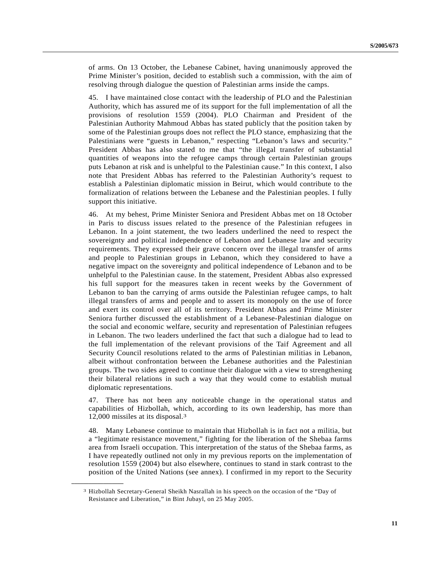of arms. On 13 October, the Lebanese Cabinet, having unanimously approved the Prime Minister's position, decided to establish such a commission, with the aim of resolving through dialogue the question of Palestinian arms inside the camps.

45. I have maintained close contact with the leadership of PLO and the Palestinian Authority, which has assured me of its support for the full implementation of all the provisions of resolution 1559 (2004). PLO Chairman and President of the Palestinian Authority Mahmoud Abbas has stated publicly that the position taken by some of the Palestinian groups does not reflect the PLO stance, emphasizing that the Palestinians were "guests in Lebanon," respecting "Lebanon's laws and security." President Abbas has also stated to me that "the illegal transfer of substantial quantities of weapons into the refugee camps through certain Palestinian groups puts Lebanon at risk and is unhelpful to the Palestinian cause." In this context, I also note that President Abbas has referred to the Palestinian Authority's request to establish a Palestinian diplomatic mission in Beirut, which would contribute to the formalization of relations between the Lebanese and the Palestinian peoples. I fully support this initiative.

46. At my behest, Prime Minister Seniora and President Abbas met on 18 October in Paris to discuss issues related to the presence of the Palestinian refugees in Lebanon. In a joint statement, the two leaders underlined the need to respect the sovereignty and political independence of Lebanon and Lebanese law and security requirements. They expressed their grave concern over the illegal transfer of arms and people to Palestinian groups in Lebanon, which they considered to have a negative impact on the sovereignty and political independence of Lebanon and to be unhelpful to the Palestinian cause. In the statement, President Abbas also expressed his full support for the measures taken in recent weeks by the Government of Lebanon to ban the carrying of arms outside the Palestinian refugee camps, to halt illegal transfers of arms and people and to assert its monopoly on the use of force and exert its control over all of its territory. President Abbas and Prime Minister Seniora further discussed the establishment of a Lebanese-Palestinian dialogue on the social and economic welfare, security and representation of Palestinian refugees in Lebanon. The two leaders underlined the fact that such a dialogue had to lead to the full implementation of the relevant provisions of the Taif Agreement and all Security Council resolutions related to the arms of Palestinian militias in Lebanon, albeit without confrontation between the Lebanese authorities and the Palestinian groups. The two sides agreed to continue their dialogue with a view to strengthening their bilateral relations in such a way that they would come to establish mutual diplomatic representations.

47. There has not been any noticeable change in the operational status and capabilities of Hizbollah, which, according to its own leadership, has more than 12,000 missiles at its disposal.3

48. Many Lebanese continue to maintain that Hizbollah is in fact not a militia, but a "legitimate resistance movement," fighting for the liberation of the Shebaa farms area from Israeli occupation. This interpretation of the status of the Shebaa farms, as I have repeatedly outlined not only in my previous reports on the implementation of resolution 1559 (2004) but also elsewhere, continues to stand in stark contrast to the position of the United Nations (see annex). I confirmed in my report to the Security

**\_\_\_\_\_\_\_\_\_\_\_\_\_\_\_\_\_\_**

<sup>3</sup> Hizbollah Secretary-General Sheikh Nasrallah in his speech on the occasion of the "Day of Resistance and Liberation," in Bint Jubayl, on 25 May 2005.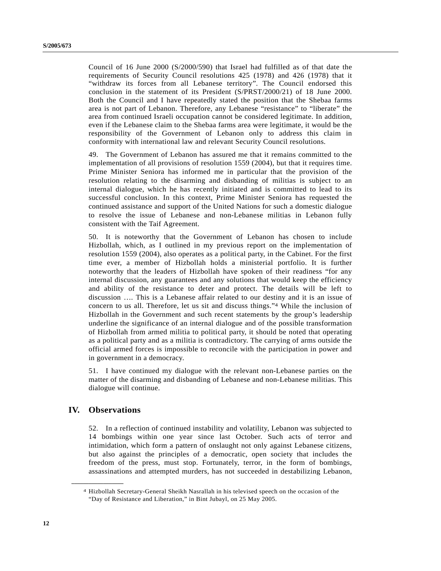Council of 16 June 2000 (S/2000/590) that Israel had fulfilled as of that date the requirements of Security Council resolutions 425 (1978) and 426 (1978) that it "withdraw its forces from all Lebanese territory". The Council endorsed this conclusion in the statement of its President (S/PRST/2000/21) of 18 June 2000. Both the Council and I have repeatedly stated the position that the Shebaa farms area is not part of Lebanon. Therefore, any Lebanese "resistance" to "liberate" the area from continued Israeli occupation cannot be considered legitimate. In addition, even if the Lebanese claim to the Shebaa farms area were legitimate, it would be the responsibility of the Government of Lebanon only to address this claim in conformity with international law and relevant Security Council resolutions.

49. The Government of Lebanon has assured me that it remains committed to the implementation of all provisions of resolution 1559 (2004), but that it requires time. Prime Minister Seniora has informed me in particular that the provision of the resolution relating to the disarming and disbanding of militias is subject to an internal dialogue, which he has recently initiated and is committed to lead to its successful conclusion. In this context, Prime Minister Seniora has requested the continued assistance and support of the United Nations for such a domestic dialogue to resolve the issue of Lebanese and non-Lebanese militias in Lebanon fully consistent with the Taif Agreement.

50. It is noteworthy that the Government of Lebanon has chosen to include Hizbollah, which, as I outlined in my previous report on the implementation of resolution 1559 (2004), also operates as a political party, in the Cabinet. For the first time ever, a member of Hizbollah holds a ministerial portfolio. It is further noteworthy that the leaders of Hizbollah have spoken of their readiness "for any internal discussion, any guarantees and any solutions that would keep the efficiency and ability of the resistance to deter and protect. The details will be left to discussion …. This is a Lebanese affair related to our destiny and it is an issue of concern to us all. Therefore, let us sit and discuss things."4 While the inclusion of Hizbollah in the Government and such recent statements by the group's leadership underline the significance of an internal dialogue and of the possible transformation of Hizbollah from armed militia to political party, it should be noted that operating as a political party and as a militia is contradictory. The carrying of arms outside the official armed forces is impossible to reconcile with the participation in power and in government in a democracy.

51. I have continued my dialogue with the relevant non-Lebanese parties on the matter of the disarming and disbanding of Lebanese and non-Lebanese militias. This dialogue will continue.

# **IV. Observations**

**\_\_\_\_\_\_\_\_\_\_\_\_\_\_\_\_\_\_**

52. In a reflection of continued instability and volatility, Lebanon was subjected to 14 bombings within one year since last October. Such acts of terror and intimidation, which form a pattern of onslaught not only against Lebanese citizens, but also against the principles of a democratic, open society that includes the freedom of the press, must stop. Fortunately, terror, in the form of bombings, assassinations and attempted murders, has not succeeded in destabilizing Lebanon,

<sup>4</sup> Hizbollah Secretary-General Sheikh Nasrallah in his televised speech on the occasion of the "Day of Resistance and Liberation," in Bint Jubayl, on 25 May 2005.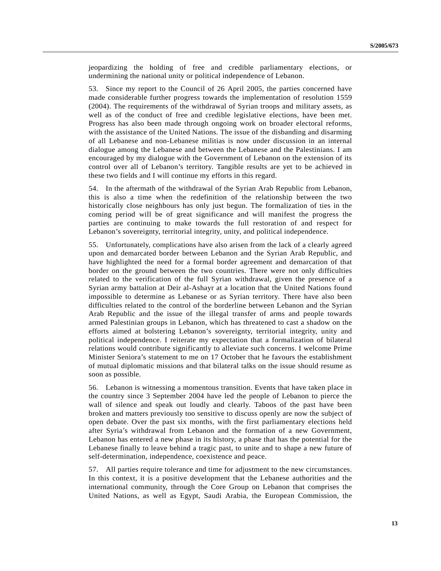jeopardizing the holding of free and credible parliamentary elections, or undermining the national unity or political independence of Lebanon.

53. Since my report to the Council of 26 April 2005, the parties concerned have made considerable further progress towards the implementation of resolution 1559 (2004). The requirements of the withdrawal of Syrian troops and military assets, as well as of the conduct of free and credible legislative elections, have been met. Progress has also been made through ongoing work on broader electoral reforms, with the assistance of the United Nations. The issue of the disbanding and disarming of all Lebanese and non-Lebanese militias is now under discussion in an internal dialogue among the Lebanese and between the Lebanese and the Palestinians. I am encouraged by my dialogue with the Government of Lebanon on the extension of its control over all of Lebanon's territory. Tangible results are yet to be achieved in these two fields and I will continue my efforts in this regard.

54. In the aftermath of the withdrawal of the Syrian Arab Republic from Lebanon, this is also a time when the redefinition of the relationship between the two historically close neighbours has only just begun. The formalization of ties in the coming period will be of great significance and will manifest the progress the parties are continuing to make towards the full restoration of and respect for Lebanon's sovereignty, territorial integrity, unity, and political independence.

55. Unfortunately, complications have also arisen from the lack of a clearly agreed upon and demarcated border between Lebanon and the Syrian Arab Republic, and have highlighted the need for a formal border agreement and demarcation of that border on the ground between the two countries. There were not only difficulties related to the verification of the full Syrian withdrawal, given the presence of a Syrian army battalion at Deir al-Ashayr at a location that the United Nations found impossible to determine as Lebanese or as Syrian territory. There have also been difficulties related to the control of the borderline between Lebanon and the Syrian Arab Republic and the issue of the illegal transfer of arms and people towards armed Palestinian groups in Lebanon, which has threatened to cast a shadow on the efforts aimed at bolstering Lebanon's sovereignty, territorial integrity, unity and political independence. I reiterate my expectation that a formalization of bilateral relations would contribute significantly to alleviate such concerns. I welcome Prime Minister Seniora's statement to me on 17 October that he favours the establishment of mutual diplomatic missions and that bilateral talks on the issue should resume as soon as possible.

56. Lebanon is witnessing a momentous transition. Events that have taken place in the country since 3 September 2004 have led the people of Lebanon to pierce the wall of silence and speak out loudly and clearly. Taboos of the past have been broken and matters previously too sensitive to discuss openly are now the subject of open debate. Over the past six months, with the first parliamentary elections held after Syria's withdrawal from Lebanon and the formation of a new Government, Lebanon has entered a new phase in its history, a phase that has the potential for the Lebanese finally to leave behind a tragic past, to unite and to shape a new future of self-determination, independence, coexistence and peace.

57. All parties require tolerance and time for adjustment to the new circumstances. In this context, it is a positive development that the Lebanese authorities and the international community, through the Core Group on Lebanon that comprises the United Nations, as well as Egypt, Saudi Arabia, the European Commission, the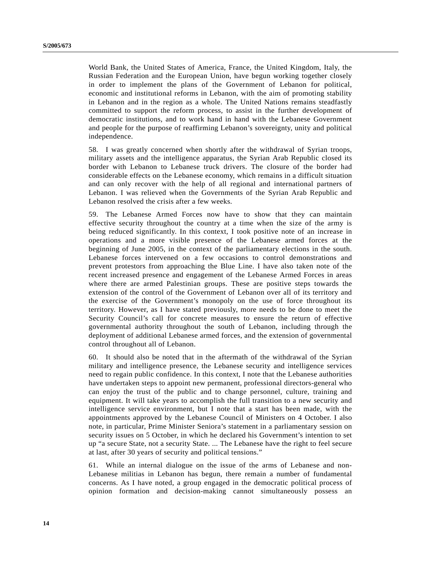World Bank, the United States of America, France, the United Kingdom, Italy, the Russian Federation and the European Union, have begun working together closely in order to implement the plans of the Government of Lebanon for political, economic and institutional reforms in Lebanon, with the aim of promoting stability in Lebanon and in the region as a whole. The United Nations remains steadfastly committed to support the reform process, to assist in the further development of democratic institutions, and to work hand in hand with the Lebanese Government and people for the purpose of reaffirming Lebanon's sovereignty, unity and political independence.

58. I was greatly concerned when shortly after the withdrawal of Syrian troops, military assets and the intelligence apparatus, the Syrian Arab Republic closed its border with Lebanon to Lebanese truck drivers. The closure of the border had considerable effects on the Lebanese economy, which remains in a difficult situation and can only recover with the help of all regional and international partners of Lebanon. I was relieved when the Governments of the Syrian Arab Republic and Lebanon resolved the crisis after a few weeks.

59. The Lebanese Armed Forces now have to show that they can maintain effective security throughout the country at a time when the size of the army is being reduced significantly. In this context, I took positive note of an increase in operations and a more visible presence of the Lebanese armed forces at the beginning of June 2005, in the context of the parliamentary elections in the south. Lebanese forces intervened on a few occasions to control demonstrations and prevent protestors from approaching the Blue Line. I have also taken note of the recent increased presence and engagement of the Lebanese Armed Forces in areas where there are armed Palestinian groups. These are positive steps towards the extension of the control of the Government of Lebanon over all of its territory and the exercise of the Government's monopoly on the use of force throughout its territory. However, as I have stated previously, more needs to be done to meet the Security Council's call for concrete measures to ensure the return of effective governmental authority throughout the south of Lebanon, including through the deployment of additional Lebanese armed forces, and the extension of governmental control throughout all of Lebanon.

60. It should also be noted that in the aftermath of the withdrawal of the Syrian military and intelligence presence, the Lebanese security and intelligence services need to regain public confidence. In this context, I note that the Lebanese authorities have undertaken steps to appoint new permanent, professional directors-general who can enjoy the trust of the public and to change personnel, culture, training and equipment. It will take years to accomplish the full transition to a new security and intelligence service environment, but I note that a start has been made, with the appointments approved by the Lebanese Council of Ministers on 4 October. I also note, in particular, Prime Minister Seniora's statement in a parliamentary session on security issues on 5 October, in which he declared his Government's intention to set up "a secure State, not a security State. ... The Lebanese have the right to feel secure at last, after 30 years of security and political tensions."

61. While an internal dialogue on the issue of the arms of Lebanese and non-Lebanese militias in Lebanon has begun, there remain a number of fundamental concerns. As I have noted, a group engaged in the democratic political process of opinion formation and decision-making cannot simultaneously possess an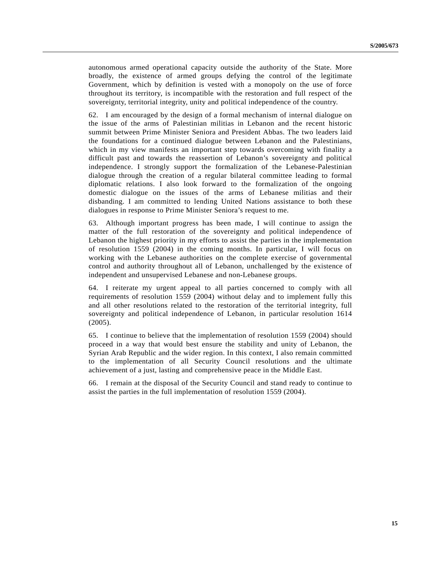autonomous armed operational capacity outside the authority of the State. More broadly, the existence of armed groups defying the control of the legitimate Government, which by definition is vested with a monopoly on the use of force throughout its territory, is incompatible with the restoration and full respect of the sovereignty, territorial integrity, unity and political independence of the country.

62. I am encouraged by the design of a formal mechanism of internal dialogue on the issue of the arms of Palestinian militias in Lebanon and the recent historic summit between Prime Minister Seniora and President Abbas. The two leaders laid the foundations for a continued dialogue between Lebanon and the Palestinians, which in my view manifests an important step towards overcoming with finality a difficult past and towards the reassertion of Lebanon's sovereignty and political independence. I strongly support the formalization of the Lebanese-Palestinian dialogue through the creation of a regular bilateral committee leading to formal diplomatic relations. I also look forward to the formalization of the ongoing domestic dialogue on the issues of the arms of Lebanese militias and their disbanding. I am committed to lending United Nations assistance to both these dialogues in response to Prime Minister Seniora's request to me.

63. Although important progress has been made, I will continue to assign the matter of the full restoration of the sovereignty and political independence of Lebanon the highest priority in my efforts to assist the parties in the implementation of resolution 1559 (2004) in the coming months. In particular, I will focus on working with the Lebanese authorities on the complete exercise of governmental control and authority throughout all of Lebanon, unchallenged by the existence of independent and unsupervised Lebanese and non-Lebanese groups.

64. I reiterate my urgent appeal to all parties concerned to comply with all requirements of resolution 1559 (2004) without delay and to implement fully this and all other resolutions related to the restoration of the territorial integrity, full sovereignty and political independence of Lebanon, in particular resolution 1614 (2005).

65. I continue to believe that the implementation of resolution 1559 (2004) should proceed in a way that would best ensure the stability and unity of Lebanon, the Syrian Arab Republic and the wider region. In this context, I also remain committed to the implementation of all Security Council resolutions and the ultimate achievement of a just, lasting and comprehensive peace in the Middle East.

66. I remain at the disposal of the Security Council and stand ready to continue to assist the parties in the full implementation of resolution 1559 (2004).